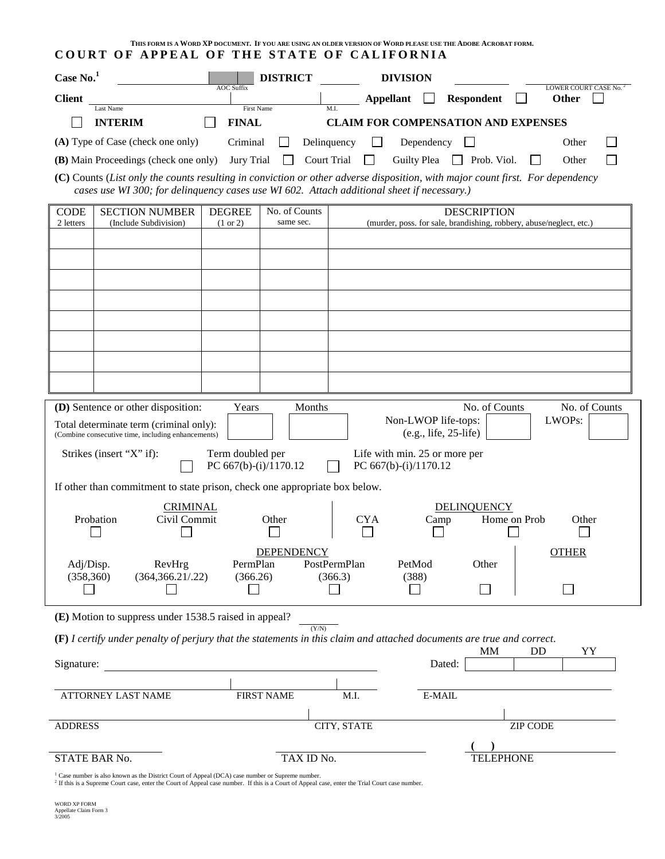| THIS FORM IS A WORD XP DOCUMENT. IF YOU ARE USING AN OLDER VERSION OF WORD PLEASE USE THE ADOBE ACROBAT FORM.<br>COURT OF APPEAL OF THE STATE OF CALIFORNIA |                                                                            |                                                                                                                                                                                                                             |  |  |
|-------------------------------------------------------------------------------------------------------------------------------------------------------------|----------------------------------------------------------------------------|-----------------------------------------------------------------------------------------------------------------------------------------------------------------------------------------------------------------------------|--|--|
| Case $No.1$                                                                                                                                                 | <b>DISTRICT</b>                                                            | <b>DIVISION</b>                                                                                                                                                                                                             |  |  |
| <b>Client</b>                                                                                                                                               | <b>AOC Suffix</b>                                                          | LOWER COURT CASE No. <sup>2</sup><br><b>Appellant</b><br><b>Respondent</b><br>Other                                                                                                                                         |  |  |
| Last Name<br><b>INTERIM</b>                                                                                                                                 | <b>First Name</b><br><b>FINAL</b>                                          | <b>CLAIM FOR COMPENSATION AND EXPENSES</b>                                                                                                                                                                                  |  |  |
| (A) Type of Case (check one only)                                                                                                                           | Criminal                                                                   | Delinquency<br>$\perp$<br>Dependency<br>$\Box$<br>Other                                                                                                                                                                     |  |  |
| (B) Main Proceedings (check one only)                                                                                                                       | <b>Jury Trial</b>                                                          | Court Trial<br>Guilty Plea $\Box$ Prob. Viol.<br>Other                                                                                                                                                                      |  |  |
|                                                                                                                                                             |                                                                            | (C) Counts (List only the counts resulting in conviction or other adverse disposition, with major count first. For dependency<br>cases use WI 300; for delinquency cases use WI 602. Attach additional sheet if necessary.) |  |  |
| <b>CODE</b><br><b>SECTION NUMBER</b>                                                                                                                        | No. of Counts<br><b>DEGREE</b>                                             | <b>DESCRIPTION</b>                                                                                                                                                                                                          |  |  |
| (Include Subdivision)<br>2 letters                                                                                                                          | same sec.<br>$(1 \text{ or } 2)$                                           | (murder, poss. for sale, brandishing, robbery, abuse/neglect, etc.)                                                                                                                                                         |  |  |
|                                                                                                                                                             |                                                                            |                                                                                                                                                                                                                             |  |  |
|                                                                                                                                                             |                                                                            |                                                                                                                                                                                                                             |  |  |
|                                                                                                                                                             |                                                                            |                                                                                                                                                                                                                             |  |  |
|                                                                                                                                                             |                                                                            |                                                                                                                                                                                                                             |  |  |
|                                                                                                                                                             |                                                                            |                                                                                                                                                                                                                             |  |  |
|                                                                                                                                                             |                                                                            |                                                                                                                                                                                                                             |  |  |
|                                                                                                                                                             |                                                                            |                                                                                                                                                                                                                             |  |  |
|                                                                                                                                                             |                                                                            |                                                                                                                                                                                                                             |  |  |
| (D) Sentence or other disposition:                                                                                                                          | Years<br>Months                                                            | No. of Counts<br>No. of Counts<br>Non-LWOP life-tops:<br>LWOPs:                                                                                                                                                             |  |  |
| Total determinate term (criminal only):<br>(Combine consecutive time, including enhancements)                                                               |                                                                            | $(e.g., life, 25-life)$                                                                                                                                                                                                     |  |  |
| Strikes (insert "X" if):                                                                                                                                    | Term doubled per                                                           | Life with min. 25 or more per                                                                                                                                                                                               |  |  |
|                                                                                                                                                             | PC 667(b)-(i)/1170.12                                                      | PC 667(b)-(i)/1170.12                                                                                                                                                                                                       |  |  |
|                                                                                                                                                             | If other than commitment to state prison, check one appropriate box below. |                                                                                                                                                                                                                             |  |  |
| Probation<br>Civil Commit                                                                                                                                   | <b>CRIMINAL</b><br>Other                                                   | <b>DELINQUENCY</b><br><b>CYA</b><br>Home on Prob<br>Other                                                                                                                                                                   |  |  |
|                                                                                                                                                             |                                                                            | Camp                                                                                                                                                                                                                        |  |  |
|                                                                                                                                                             | <b>DEPENDENCY</b>                                                          | <b>OTHER</b>                                                                                                                                                                                                                |  |  |
| Adj/Disp.<br>RevHrg<br>(358, 360)<br>(364, 366.21/0.22)                                                                                                     | PermPlan<br>(366.26)                                                       | PostPermPlan<br>PetMod<br>Other<br>(366.3)<br>(388)                                                                                                                                                                         |  |  |
|                                                                                                                                                             |                                                                            |                                                                                                                                                                                                                             |  |  |
| (E) Motion to suppress under 1538.5 raised in appeal?                                                                                                       |                                                                            |                                                                                                                                                                                                                             |  |  |
| (Y/N)<br>$(F)$ I certify under penalty of perjury that the statements in this claim and attached documents are true and correct.                            |                                                                            |                                                                                                                                                                                                                             |  |  |
| <b>MM</b><br>DD<br>YY                                                                                                                                       |                                                                            |                                                                                                                                                                                                                             |  |  |
| Signature:                                                                                                                                                  |                                                                            | Dated:                                                                                                                                                                                                                      |  |  |
| ATTORNEY LAST NAME                                                                                                                                          | <b>FIRST NAME</b>                                                          | M.I.<br>E-MAIL                                                                                                                                                                                                              |  |  |
|                                                                                                                                                             |                                                                            |                                                                                                                                                                                                                             |  |  |
| <b>ADDRESS</b>                                                                                                                                              |                                                                            | CITY, STATE<br><b>ZIP CODE</b>                                                                                                                                                                                              |  |  |
|                                                                                                                                                             |                                                                            |                                                                                                                                                                                                                             |  |  |
| STATE BAR No.                                                                                                                                               | TAX ID No.                                                                 | <b>TELEPHONE</b>                                                                                                                                                                                                            |  |  |

<sup>1</sup> Case number is also known as the District Court of Appeal (DCA) case number or Supreme number.<br><sup>2</sup> If this is a Supreme Court case, enter the Court of Appeal case number. If this is a Court of Appeal case, enter the Tr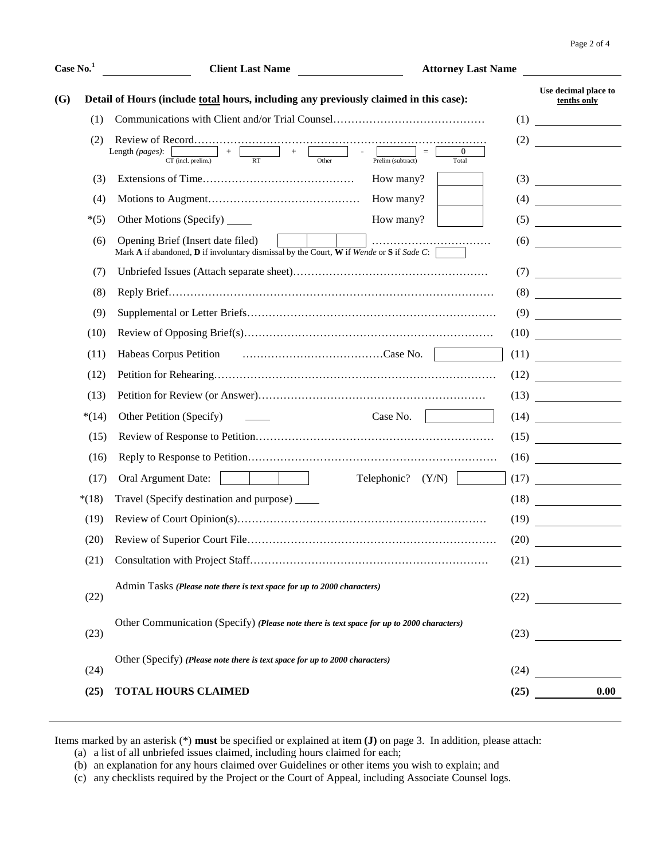| Case No. <sup>1</sup> |         | <b>Client Last Name</b>                                                                                                                                               | <b>Attorney Last Name</b> |                                                                                                                       |
|-----------------------|---------|-----------------------------------------------------------------------------------------------------------------------------------------------------------------------|---------------------------|-----------------------------------------------------------------------------------------------------------------------|
| <b>(G)</b>            |         | Detail of Hours (include total hours, including any previously claimed in this case):                                                                                 |                           | Use decimal place to<br>tenths only                                                                                   |
|                       | (1)     |                                                                                                                                                                       | (1)                       |                                                                                                                       |
|                       | (2)     |                                                                                                                                                                       | (2)                       | <u> 1990 - Jan Barnett, p</u>                                                                                         |
|                       |         | $\frac{1}{\text{CT (incl. prelim.)}} + \frac{1}{\text{RT}} + \frac{1}{\text{Other}}$<br>Length (pages):<br>$\sim 100$<br>$\overline{0}$<br>Prelim (subtract)<br>Total |                           |                                                                                                                       |
|                       | (3)     | How many?                                                                                                                                                             | (3)                       | <u> 1989 - Jan Barat, prima politik (</u>                                                                             |
|                       | (4)     | How many?                                                                                                                                                             |                           | $(4) \qquad \qquad \overbrace{\qquad \qquad }$                                                                        |
|                       | $*(5)$  | How many?<br>Other Motions (Specify) ______                                                                                                                           | (5)                       | <u> 1990 - Jan Barbara Barat, p</u>                                                                                   |
|                       | (6)     | Opening Brief (Insert date filed)<br>Mark A if abandoned, $D$ if involuntary dismissal by the Court, W if Wende or S if Sade C:                                       | (6)                       | <u> 1990 - Jan Barbara Barat III, marka bashkan a shekara 1991 - 1991 - 1991 - 1991 - 1991 - 1991 - 1991 - 1991 -</u> |
|                       | (7)     |                                                                                                                                                                       | (7)                       | <u> a shekara ta 1999 a shekara ta 1991 a shekara ta 1991 a shekara ta 1991 a shekara ta 1991 a shekara ta 1991 a</u> |
|                       | (8)     |                                                                                                                                                                       |                           | (8)                                                                                                                   |
|                       | (9)     |                                                                                                                                                                       |                           | (9)                                                                                                                   |
|                       | (10)    |                                                                                                                                                                       |                           | (10)                                                                                                                  |
|                       | (11)    |                                                                                                                                                                       |                           | (11)                                                                                                                  |
|                       | (12)    |                                                                                                                                                                       |                           | (12)                                                                                                                  |
|                       | (13)    |                                                                                                                                                                       |                           | $(13) \qquad \qquad \qquad \overbrace{\qquad \qquad }$                                                                |
|                       | $*(14)$ | Other Petition (Specify)<br>Case No.                                                                                                                                  |                           | (14)                                                                                                                  |
|                       | (15)    |                                                                                                                                                                       |                           | (15)                                                                                                                  |
|                       | (16)    |                                                                                                                                                                       |                           | (16)                                                                                                                  |
|                       | (17)    | Oral Argument Date:<br>Telephonic?<br>(Y/N)                                                                                                                           |                           | (17)                                                                                                                  |
|                       | $*(18)$ | Travel (Specify destination and purpose) ______                                                                                                                       |                           | (18)                                                                                                                  |
|                       | (19)    |                                                                                                                                                                       |                           | (19)                                                                                                                  |
|                       | (20)    |                                                                                                                                                                       | (20)                      | <u> 1980 - Jan Barat, politik politik (</u>                                                                           |
|                       | (21)    |                                                                                                                                                                       |                           | (21)                                                                                                                  |
|                       | (22)    | Admin Tasks (Please note there is text space for up to 2000 characters)                                                                                               |                           | (22)                                                                                                                  |
|                       |         | Other Communication (Specify) (Please note there is text space for up to 2000 characters)                                                                             |                           |                                                                                                                       |
|                       | (23)    |                                                                                                                                                                       |                           |                                                                                                                       |
|                       | (24)    | Other (Specify) (Please note there is text space for up to 2000 characters)                                                                                           |                           | (24)                                                                                                                  |
|                       | (25)    | <b>TOTAL HOURS CLAIMED</b>                                                                                                                                            |                           | 0.00<br>(25)                                                                                                          |
|                       |         |                                                                                                                                                                       |                           |                                                                                                                       |

Items marked by an asterisk (\*) **must** be specified or explained at item **(J)** on page 3. In addition, please attach:

(a) a list of all unbriefed issues claimed, including hours claimed for each;

(b) an explanation for any hours claimed over Guidelines or other items you wish to explain; and

(c) any checklists required by the Project or the Court of Appeal, including Associate Counsel logs.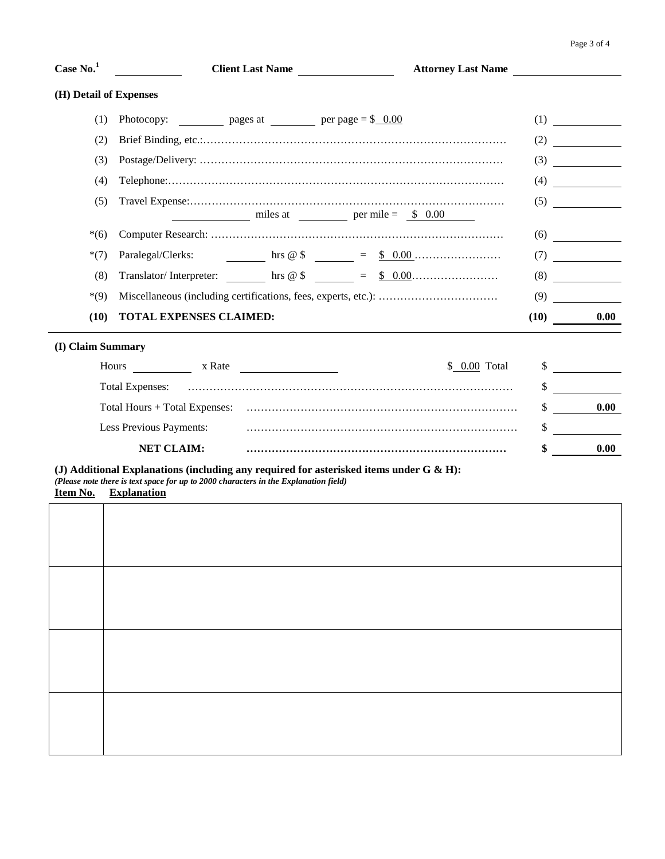| Case No. <sup>1</sup>  | Client Last Name<br><b>Attorney Last Name</b>                                        |              |                                                                                    |
|------------------------|--------------------------------------------------------------------------------------|--------------|------------------------------------------------------------------------------------|
| (H) Detail of Expenses |                                                                                      |              |                                                                                    |
| (1)                    | Photocopy: $\qquad \qquad \text{pages at} \qquad \qquad \text{per page} = \$ \_0.00$ |              | (1)                                                                                |
| (2)                    |                                                                                      |              | (2)                                                                                |
| (3)                    |                                                                                      | (3)          |                                                                                    |
| (4)                    |                                                                                      | (4)          | $\overline{\phantom{a}}$ and $\overline{\phantom{a}}$ and $\overline{\phantom{a}}$ |
| (5)                    | $miles at$ $per mile = $ 0.00$                                                       |              | (5)                                                                                |
| $*(6)$                 |                                                                                      |              | (6)                                                                                |
| $*(7)$                 |                                                                                      |              | (7)                                                                                |
| (8)                    |                                                                                      |              | (8)                                                                                |
| $*(9)$                 |                                                                                      | (9)          |                                                                                    |
| (10)                   | <b>TOTAL EXPENSES CLAIMED:</b>                                                       | (10)         | 0.00                                                                               |
| (I) Claim Summary      |                                                                                      |              |                                                                                    |
|                        | Hours x Rate<br>\$ 0.00 Total                                                        | $\mathbb{S}$ |                                                                                    |
|                        |                                                                                      | \$           |                                                                                    |
|                        |                                                                                      | \$           | 0.00                                                                               |
|                        | Less Previous Payments:                                                              | \$           |                                                                                    |
|                        | <b>NET CLAIM:</b>                                                                    | \$           | 0.00                                                                               |

|  | (Please note there is text space for up to 2000 characters in the Explanation field) |
|--|--------------------------------------------------------------------------------------|
|  |                                                                                      |

**Item No. Explanation**